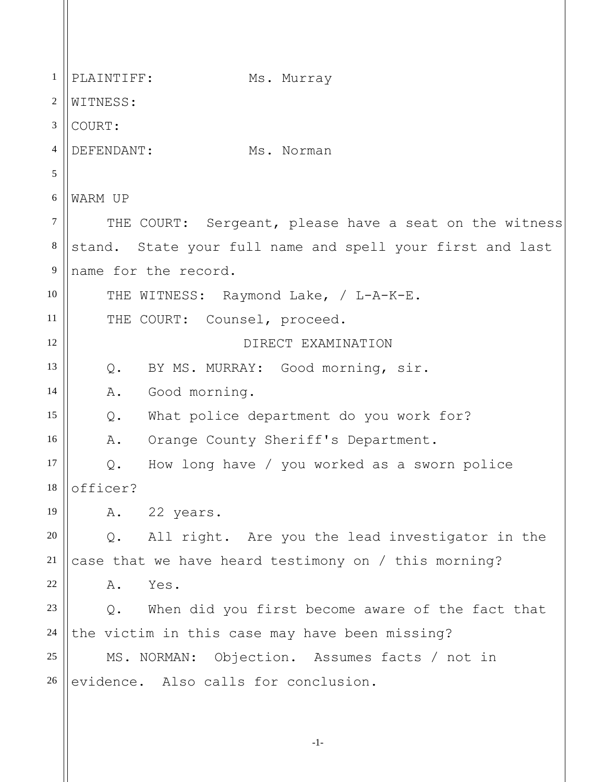1 2 3 4 5 6 7 8 9 10 11 12 13 14 15 16 17 18 19 20 21 22 23 24 25 26 PLAINTIFF: Ms. Murray WITNESS: COURT: DEFENDANT: Ms. Norman WARM UP THE COURT: Sergeant, please have a seat on the witness stand. State your full name and spell your first and last name for the record. THE WITNESS: Raymond Lake, / L-A-K-E. THE COURT: Counsel, proceed. DIRECT EXAMINATION Q. BY MS. MURRAY: Good morning, sir. A. Good morning. Q. What police department do you work for? A. Orange County Sheriff's Department. Q. How long have / you worked as a sworn police officer? A. 22 years. Q. All right. Are you the lead investigator in the case that we have heard testimony on / this morning? A. Yes. Q. When did you first become aware of the fact that the victim in this case may have been missing? MS. NORMAN: Objection. Assumes facts / not in evidence. Also calls for conclusion.

-1-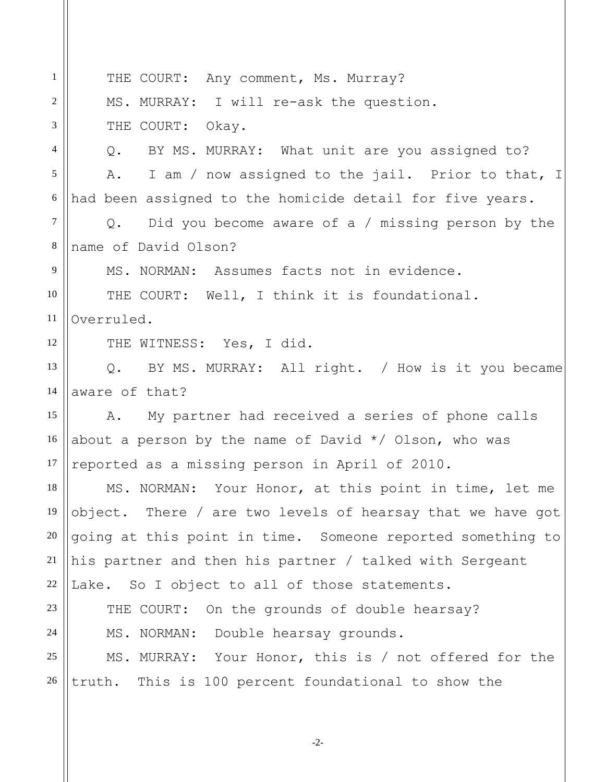1 2 3 4 5 6 7 8 9 10 11 12 13 14 15 16 17 18 19 20 21 22 23 24 25 26 THE COURT: Any comment, Ms. Murray? MS. MURRAY: I will re-ask the question. THE COURT: Okay. Q. BY MS. MURRAY: What unit are you assigned to? A. I am / now assigned to the jail. Prior to that, I had been assigned to the homicide detail for five years. Q. Did you become aware of a / missing person by the name of David Olson? MS. NORMAN: Assumes facts not in evidence. THE COURT: Well, I think it is foundational. Overruled. THE WITNESS: Yes, I did. Q. BY MS. MURRAY: All right. / How is it you became aware of that? A. My partner had received a series of phone calls about a person by the name of David  $*/$  Olson, who was reported as a missing person in April of 2010. MS. NORMAN: Your Honor, at this point in time, let me object. There / are two levels of hearsay that we have got going at this point in time. Someone reported something to his partner and then his partner / talked with Sergeant Lake. So I object to all of those statements. THE COURT: On the grounds of double hearsay? MS. NORMAN: Double hearsay grounds. MS. MURRAY: Your Honor, this is / not offered for the truth. This is 100 percent foundational to show the

-2-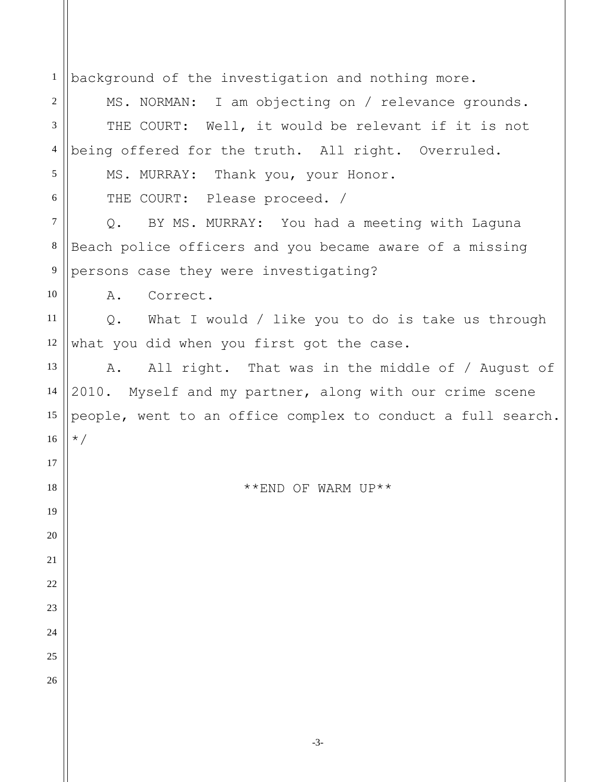| $\mathbf{1}$    | background of the investigation and nothing more.             |
|-----------------|---------------------------------------------------------------|
| 2               | MS. NORMAN: I am objecting on / relevance grounds.            |
| 3               | THE COURT: Well, it would be relevant if it is not            |
| $\overline{4}$  | being offered for the truth. All right. Overruled.            |
| 5               | MS. MURRAY: Thank you, your Honor.                            |
| 6               | THE COURT: Please proceed. /                                  |
| 7               | BY MS. MURRAY: You had a meeting with Laguna<br>$Q_{\bullet}$ |
| $8\phantom{.0}$ | Beach police officers and you became aware of a missing       |
| 9               | persons case they were investigating?                         |
| 10              | Correct.<br>Α.                                                |
| 11              | Q. What I would / like you to do is take us through           |
| 12              | what you did when you first got the case.                     |
| 13              | All right. That was in the middle of / August of<br>Α.        |
| 14              | 2010. Myself and my partner, along with our crime scene       |
| 15              | people, went to an office complex to conduct a full search.   |
| 16              | $\star/$                                                      |
| 17              |                                                               |
| 18              | **END OF WARM UP**                                            |
| 19              |                                                               |
| 20              |                                                               |
| 21              |                                                               |
| 22              |                                                               |
| 23              |                                                               |
| 24              |                                                               |
| 25              |                                                               |
| 26              |                                                               |
|                 |                                                               |
|                 |                                                               |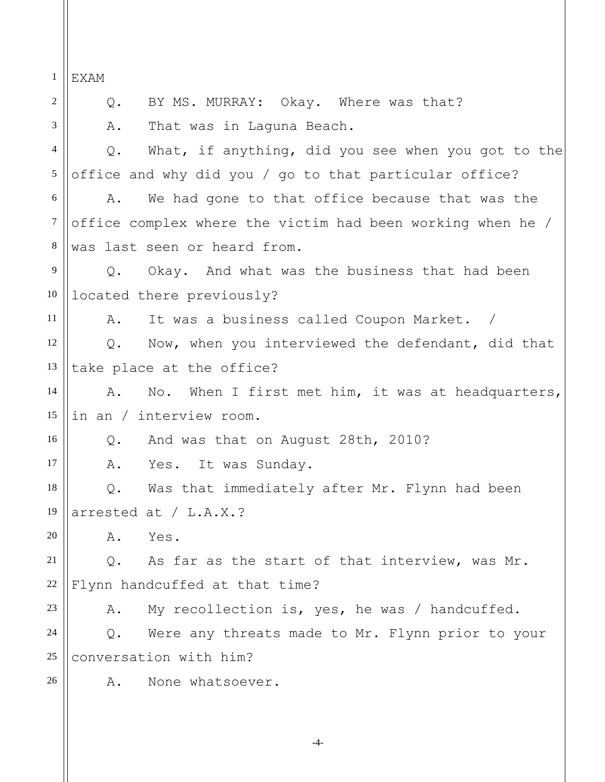1 2 3 4 5 6 7 8 9 10 11 12 13 14 15 16 17 18 19 20 21 22 23 24 25 26 EXAM Q. BY MS. MURRAY: Okay. Where was that? A. That was in Laguna Beach. Q. What, if anything, did you see when you got to the office and why did you / go to that particular office? A. We had gone to that office because that was the office complex where the victim had been working when he / was last seen or heard from. Q. Okay. And what was the business that had been located there previously? A. It was a business called Coupon Market. / Q. Now, when you interviewed the defendant, did that take place at the office? A. No. When I first met him, it was at headquarters, in an / interview room. Q. And was that on August 28th, 2010? A. Yes. It was Sunday. Q. Was that immediately after Mr. Flynn had been arrested at / L.A.X.? A. Yes. Q. As far as the start of that interview, was Mr. Flynn handcuffed at that time? A. My recollection is, yes, he was / handcuffed. Q. Were any threats made to Mr. Flynn prior to your conversation with him? A. None whatsoever.

-4-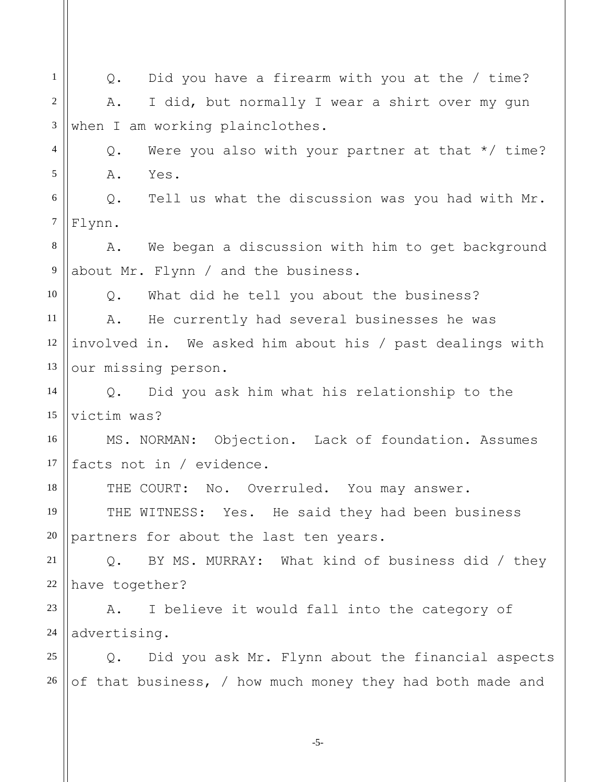1 2 3 4 5 6 7 8 9 10 11 12 13 14 15 16 17 18 19 20 21 22 23 24 25 26 Q. Did you have a firearm with you at the / time? A. I did, but normally I wear a shirt over my gun when I am working plainclothes. Q. Were you also with your partner at that \*/ time? A. Yes. Q. Tell us what the discussion was you had with Mr. Flynn. A. We began a discussion with him to get background about Mr. Flynn / and the business. Q. What did he tell you about the business? A. He currently had several businesses he was involved in. We asked him about his / past dealings with our missing person. Q. Did you ask him what his relationship to the victim was? MS. NORMAN: Objection. Lack of foundation. Assumes facts not in / evidence. THE COURT: No. Overruled. You may answer. THE WITNESS: Yes. He said they had been business partners for about the last ten years. Q. BY MS. MURRAY: What kind of business did / they have together? A. I believe it would fall into the category of advertising. Q. Did you ask Mr. Flynn about the financial aspects of that business, / how much money they had both made and

-5-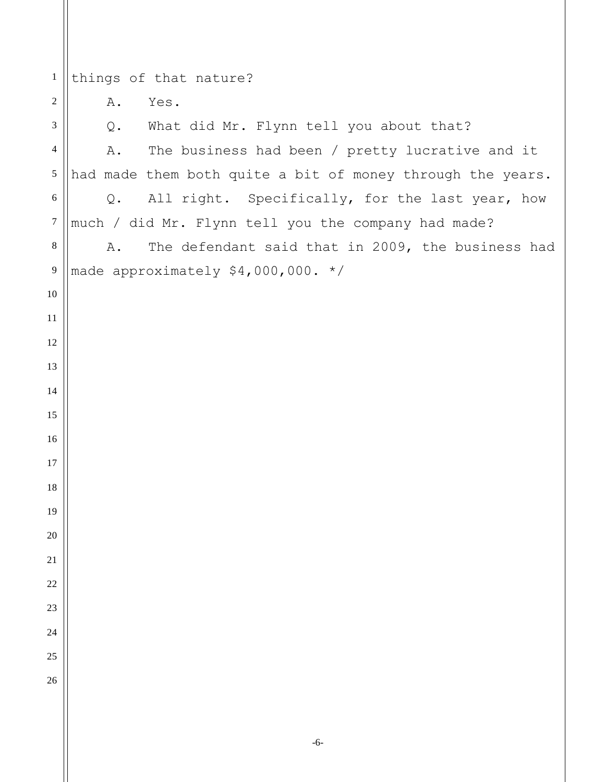things of that nature? A. Yes. Q. What did Mr. Flynn tell you about that? A. The business had been / pretty lucrative and it had made them both quite a bit of money through the years. Q. All right. Specifically, for the last year, how much / did Mr. Flynn tell you the company had made? A. The defendant said that in 2009, the business had made approximately \$4,000,000. \*/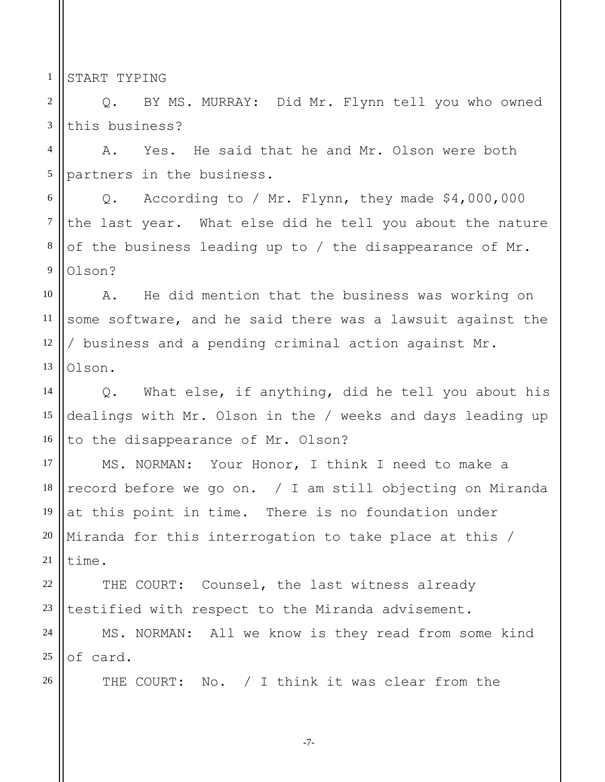1 START TYPING

26

2 3 Q. BY MS. MURRAY: Did Mr. Flynn tell you who owned this business?

4 5 A. Yes. He said that he and Mr. Olson were both partners in the business.

6 7 8 9 Q. According to / Mr. Flynn, they made \$4,000,000 the last year. What else did he tell you about the nature of the business leading up to / the disappearance of Mr. Olson?

10 11 12 13 A. He did mention that the business was working on some software, and he said there was a lawsuit against the / business and a pending criminal action against Mr. Olson.

14 15 16 Q. What else, if anything, did he tell you about his dealings with Mr. Olson in the / weeks and days leading up to the disappearance of Mr. Olson?

17 18 19 20 21 MS. NORMAN: Your Honor, I think I need to make a record before we go on. / I am still objecting on Miranda at this point in time. There is no foundation under Miranda for this interrogation to take place at this / time.

22 23 THE COURT: Counsel, the last witness already testified with respect to the Miranda advisement.

24 25 MS. NORMAN: All we know is they read from some kind of card.

THE COURT: No. / I think it was clear from the

-7-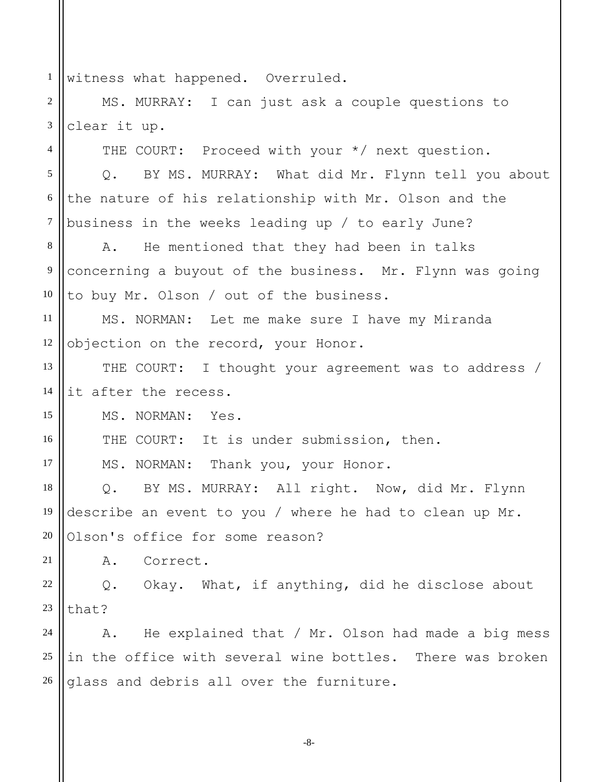1 witness what happened. Overruled.

2 3 MS. MURRAY: I can just ask a couple questions to clear it up.

THE COURT: Proceed with your \*/ next question.

5 6 7 Q. BY MS. MURRAY: What did Mr. Flynn tell you about the nature of his relationship with Mr. Olson and the business in the weeks leading up / to early June?

8 9 10 A. He mentioned that they had been in talks concerning a buyout of the business. Mr. Flynn was going to buy Mr. Olson / out of the business.

11 12 MS. NORMAN: Let me make sure I have my Miranda objection on the record, your Honor.

13 14 THE COURT: I thought your agreement was to address / it after the recess.

MS. NORMAN: Yes.

4

15

16

17

21

THE COURT: It is under submission, then.

MS. NORMAN: Thank you, your Honor.

18 19 20 Q. BY MS. MURRAY: All right. Now, did Mr. Flynn describe an event to you / where he had to clean up Mr. Olson's office for some reason?

A. Correct.

22 23 Q. Okay. What, if anything, did he disclose about that?

24 25 26 A. He explained that / Mr. Olson had made a big mess in the office with several wine bottles. There was broken glass and debris all over the furniture.

-8-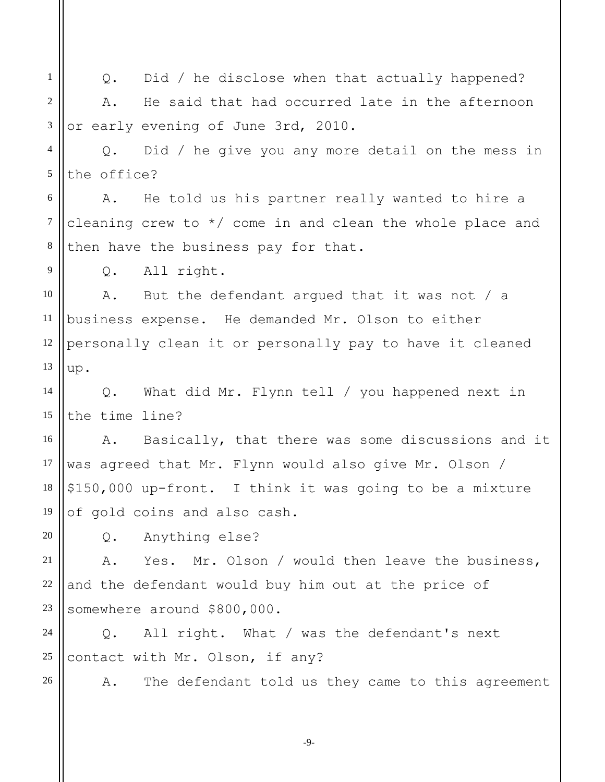1 2 3 4 5 6 7 8 9 10 11 12 13 14 15 16 17 18 19 20 21 22 23 24 25 26 Q. Did / he disclose when that actually happened? A. He said that had occurred late in the afternoon or early evening of June 3rd, 2010. Q. Did / he give you any more detail on the mess in the office? A. He told us his partner really wanted to hire a cleaning crew to \*/ come in and clean the whole place and then have the business pay for that. Q. All right. A. But the defendant argued that it was not / a business expense. He demanded Mr. Olson to either personally clean it or personally pay to have it cleaned up. Q. What did Mr. Flynn tell / you happened next in the time line? A. Basically, that there was some discussions and it was agreed that Mr. Flynn would also give Mr. Olson / \$150,000 up-front. I think it was going to be a mixture of gold coins and also cash. Q. Anything else? A. Yes. Mr. Olson / would then leave the business, and the defendant would buy him out at the price of somewhere around \$800,000. Q. All right. What / was the defendant's next contact with Mr. Olson, if any? A. The defendant told us they came to this agreement

-9-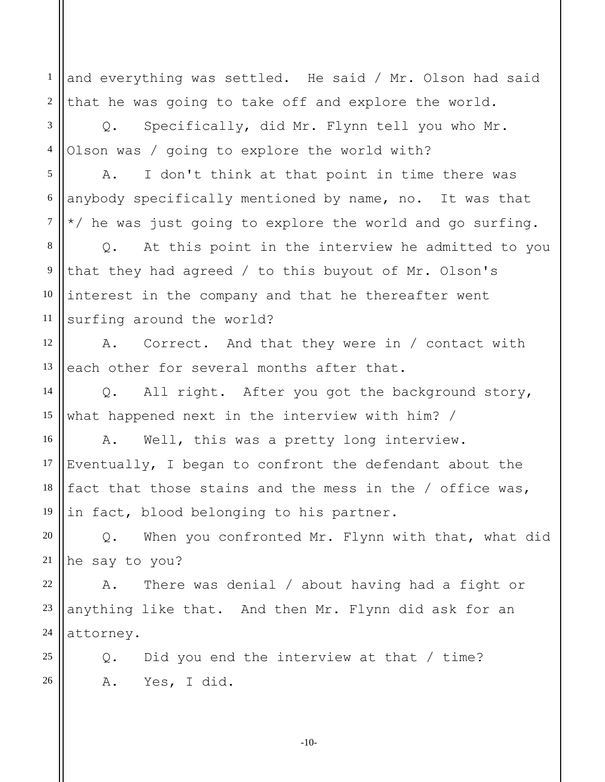1 2 and everything was settled. He said / Mr. Olson had said that he was going to take off and explore the world.

3 4 Q. Specifically, did Mr. Flynn tell you who Mr. Olson was / going to explore the world with?

5 6 7 A. I don't think at that point in time there was anybody specifically mentioned by name, no. It was that \*/ he was just going to explore the world and go surfing.

8 9 10 11 Q. At this point in the interview he admitted to you that they had agreed / to this buyout of Mr. Olson's interest in the company and that he thereafter went surfing around the world?

12 13 A. Correct. And that they were in / contact with each other for several months after that.

14 15 Q. All right. After you got the background story, what happened next in the interview with him? /

16 17 18 19 A. Well, this was a pretty long interview. Eventually, I began to confront the defendant about the fact that those stains and the mess in the / office was, in fact, blood belonging to his partner.

20 21 Q. When you confronted Mr. Flynn with that, what did he say to you?

22 23 24 A. There was denial / about having had a fight or anything like that. And then Mr. Flynn did ask for an attorney.

Q. Did you end the interview at that / time? A. Yes, I did.

25

26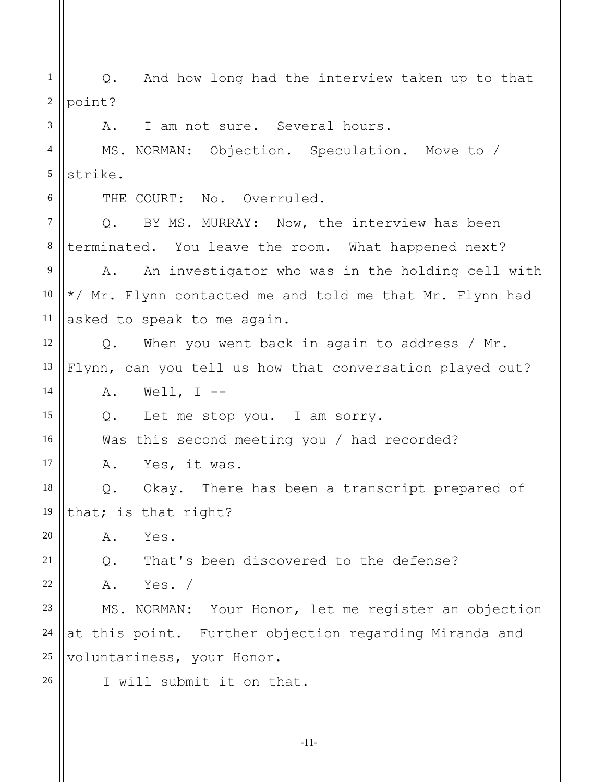1 2 3 4 5 6 7 8 Q. And how long had the interview taken up to that point? A. I am not sure. Several hours. MS. NORMAN: Objection. Speculation. Move to / strike. THE COURT: No. Overruled. Q. BY MS. MURRAY: Now, the interview has been terminated. You leave the room. What happened next?

9 10 11 A. An investigator who was in the holding cell with \*/ Mr. Flynn contacted me and told me that Mr. Flynn had asked to speak to me again.

12 13 Q. When you went back in again to address / Mr. Flynn, can you tell us how that conversation played out?

 $A.$  Well, I --

14

15

16

17

26

Q. Let me stop you. I am sorry.

Was this second meeting you / had recorded?

A. Yes, it was.

18 19 Q. Okay. There has been a transcript prepared of that; is that right?

20 A. Yes.

21 Q. That's been discovered to the defense?

22 A. Yes. /

23 24 25 MS. NORMAN: Your Honor, let me register an objection at this point. Further objection regarding Miranda and voluntariness, your Honor.

I will submit it on that.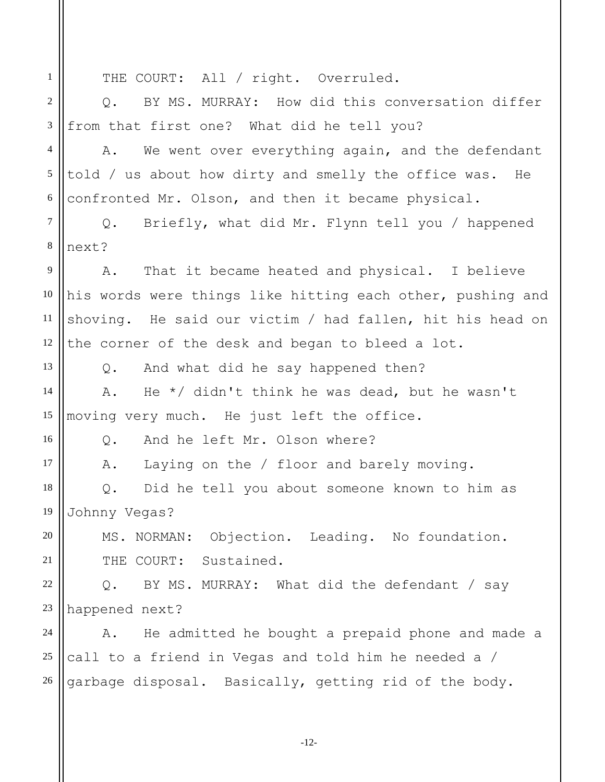1 2 3 4 5 6 7 8 9 10 11 12 13 14 15 16 17 18 19 20 21 22 23 24 25 26 THE COURT: All / right. Overruled. Q. BY MS. MURRAY: How did this conversation differ from that first one? What did he tell you? A. We went over everything again, and the defendant told / us about how dirty and smelly the office was. He confronted Mr. Olson, and then it became physical. Q. Briefly, what did Mr. Flynn tell you / happened next? A. That it became heated and physical. I believe his words were things like hitting each other, pushing and shoving. He said our victim / had fallen, hit his head on the corner of the desk and began to bleed a lot. Q. And what did he say happened then? A. He \*/ didn't think he was dead, but he wasn't moving very much. He just left the office. Q. And he left Mr. Olson where? A. Laying on the / floor and barely moving. Q. Did he tell you about someone known to him as Johnny Vegas? MS. NORMAN: Objection. Leading. No foundation. THE COURT: Sustained. Q. BY MS. MURRAY: What did the defendant / say happened next? A. He admitted he bought a prepaid phone and made a call to a friend in Vegas and told him he needed a / garbage disposal. Basically, getting rid of the body.

-12-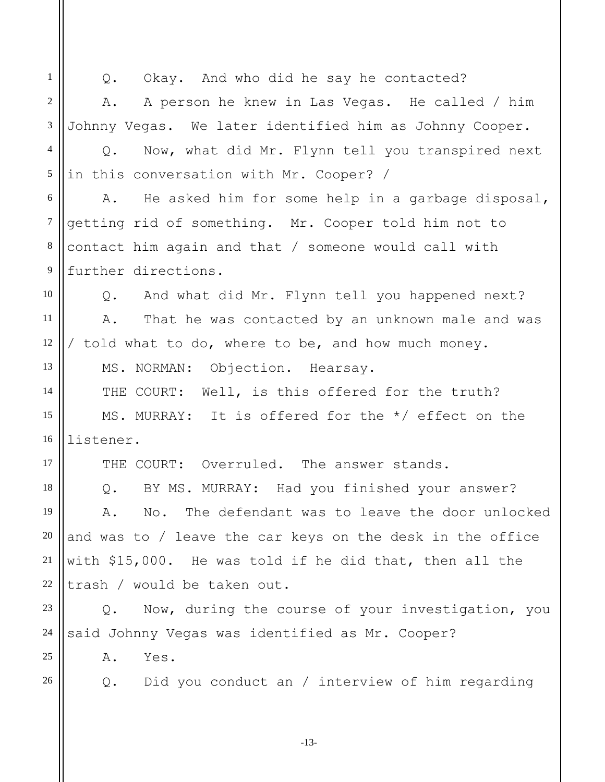1 2 3 4 5 6 7 8 9 10 11 12 13 14 15 16 17 18 19 20 21 22 23 24 25 26 Q. Okay. And who did he say he contacted? A. A person he knew in Las Vegas. He called / him Johnny Vegas. We later identified him as Johnny Cooper. Q. Now, what did Mr. Flynn tell you transpired next in this conversation with Mr. Cooper? / A. He asked him for some help in a garbage disposal, getting rid of something. Mr. Cooper told him not to contact him again and that / someone would call with further directions. Q. And what did Mr. Flynn tell you happened next? A. That he was contacted by an unknown male and was / told what to do, where to be, and how much money. MS. NORMAN: Objection. Hearsay. THE COURT: Well, is this offered for the truth? MS. MURRAY: It is offered for the \*/ effect on the listener. THE COURT: Overruled. The answer stands. Q. BY MS. MURRAY: Had you finished your answer? A. No. The defendant was to leave the door unlocked and was to / leave the car keys on the desk in the office with \$15,000. He was told if he did that, then all the trash / would be taken out. Q. Now, during the course of your investigation, you said Johnny Vegas was identified as Mr. Cooper? A. Yes. Q. Did you conduct an / interview of him regarding

-13-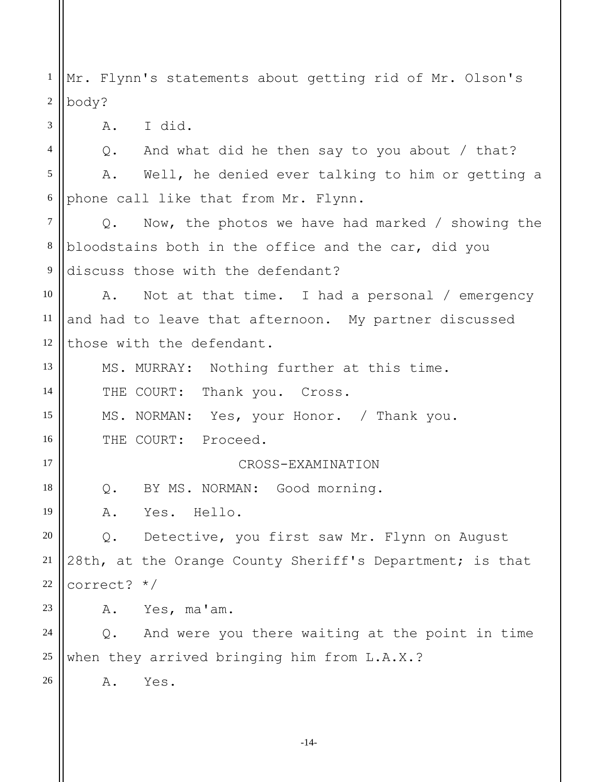1 2 Mr. Flynn's statements about getting rid of Mr. Olson's body?

A. I did.

3

17

18

19

23

26

4 5 6 Q. And what did he then say to you about / that? A. Well, he denied ever talking to him or getting a phone call like that from Mr. Flynn.

7 8 9 Q. Now, the photos we have had marked / showing the bloodstains both in the office and the car, did you discuss those with the defendant?

10 11 12 A. Not at that time. I had a personal / emergency and had to leave that afternoon. My partner discussed those with the defendant.

13 14 15 16 MS. MURRAY: Nothing further at this time. THE COURT: Thank you. Cross. MS. NORMAN: Yes, your Honor. / Thank you. THE COURT: Proceed.

CROSS-EXAMINATION

Q. BY MS. NORMAN: Good morning.

A. Yes. Hello.

20 21 22 Q. Detective, you first saw Mr. Flynn on August 28th, at the Orange County Sheriff's Department; is that correct? \*/

A. Yes, ma'am.

24 25 Q. And were you there waiting at the point in time when they arrived bringing him from L.A.X.?

A. Yes.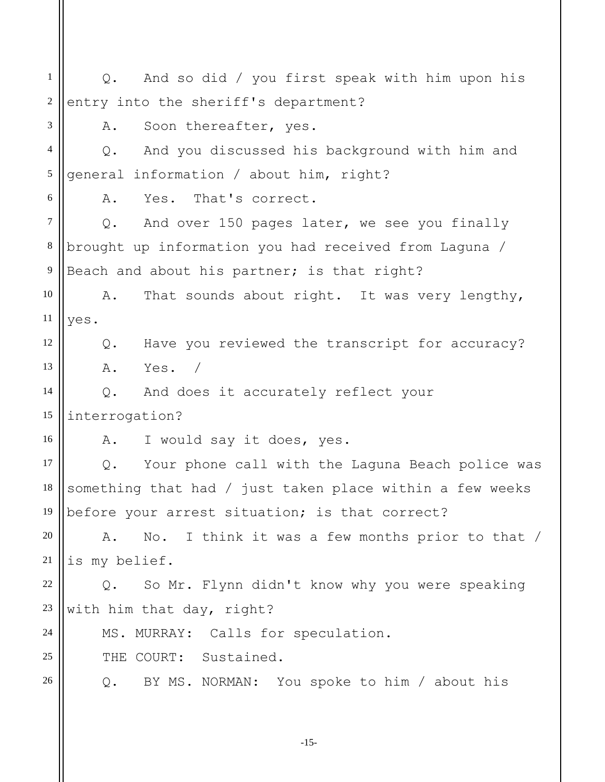1 2 3 4 5 6 7 8 9 10 11 12 13 14 15 16 17 18 19 20 21 22 23 24 25 26 Q. And so did / you first speak with him upon his entry into the sheriff's department? A. Soon thereafter, yes. Q. And you discussed his background with him and general information / about him, right? A. Yes. That's correct. Q. And over 150 pages later, we see you finally brought up information you had received from Laguna / Beach and about his partner; is that right? A. That sounds about right. It was very lengthy, yes. Q. Have you reviewed the transcript for accuracy? A. Yes. / Q. And does it accurately reflect your interrogation? A. I would say it does, yes. Q. Your phone call with the Laguna Beach police was something that had / just taken place within a few weeks before your arrest situation; is that correct? A. No. I think it was a few months prior to that / is my belief. Q. So Mr. Flynn didn't know why you were speaking with him that day, right? MS. MURRAY: Calls for speculation. THE COURT: Sustained. Q. BY MS. NORMAN: You spoke to him / about his

-15-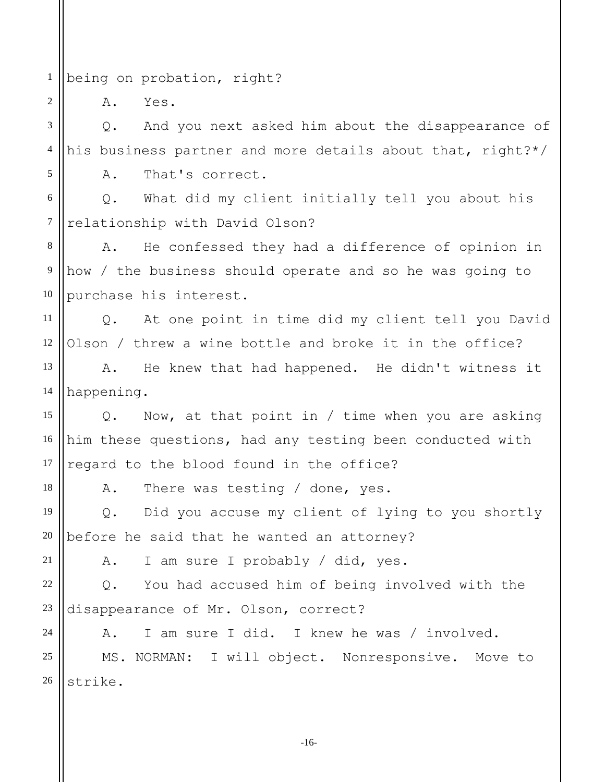1 being on probation, right?

A. Yes.

2

3 4 5 Q. And you next asked him about the disappearance of his business partner and more details about that, right?\*/ A. That's correct.

6 7 Q. What did my client initially tell you about his relationship with David Olson?

8 9 10 A. He confessed they had a difference of opinion in how / the business should operate and so he was going to purchase his interest.

11 12 Q. At one point in time did my client tell you David Olson / threw a wine bottle and broke it in the office?

13 14 A. He knew that had happened. He didn't witness it happening.

15 16 17 Q. Now, at that point in / time when you are asking him these questions, had any testing been conducted with regard to the blood found in the office?

A. There was testing / done, yes.

19 20 Q. Did you accuse my client of lying to you shortly before he said that he wanted an attorney?

21

18

24

A. I am sure I probably / did, yes.

22 23 Q. You had accused him of being involved with the disappearance of Mr. Olson, correct?

A. I am sure I did. I knew he was / involved.

25 26 MS. NORMAN: I will object. Nonresponsive. Move to strike.

-16-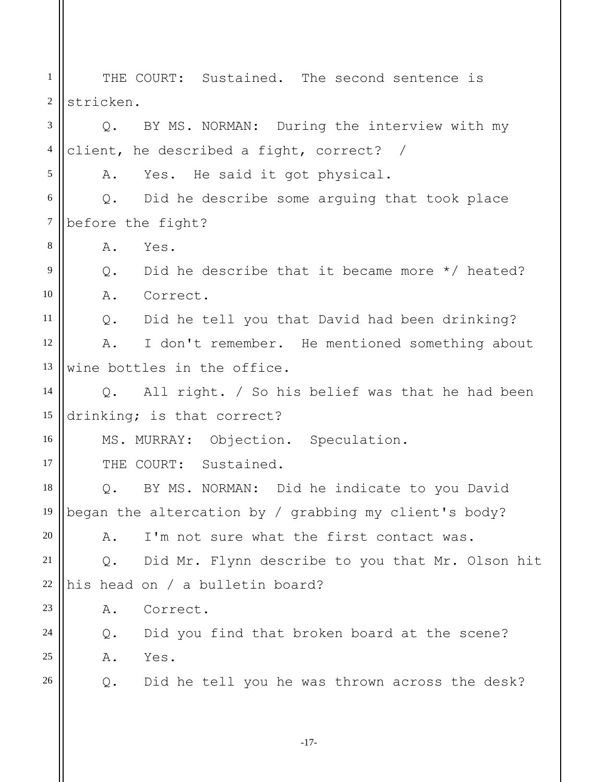1 2 3 4 5 6 7 8 9 10 11 12 13 14 15 16 17 18 19 20 21 22 23 24 25 26 THE COURT: Sustained. The second sentence is stricken. Q. BY MS. NORMAN: During the interview with my client, he described a fight, correct? / A. Yes. He said it got physical. Q. Did he describe some arguing that took place before the fight? A. Yes. Q. Did he describe that it became more \*/ heated? A. Correct. Q. Did he tell you that David had been drinking? A. I don't remember. He mentioned something about wine bottles in the office. Q. All right. / So his belief was that he had been drinking; is that correct? MS. MURRAY: Objection. Speculation. THE COURT: Sustained. Q. BY MS. NORMAN: Did he indicate to you David began the altercation by / grabbing my client's body? A. I'm not sure what the first contact was. Q. Did Mr. Flynn describe to you that Mr. Olson hit his head on / a bulletin board? A. Correct. Q. Did you find that broken board at the scene? A. Yes. Q. Did he tell you he was thrown across the desk?

-17-